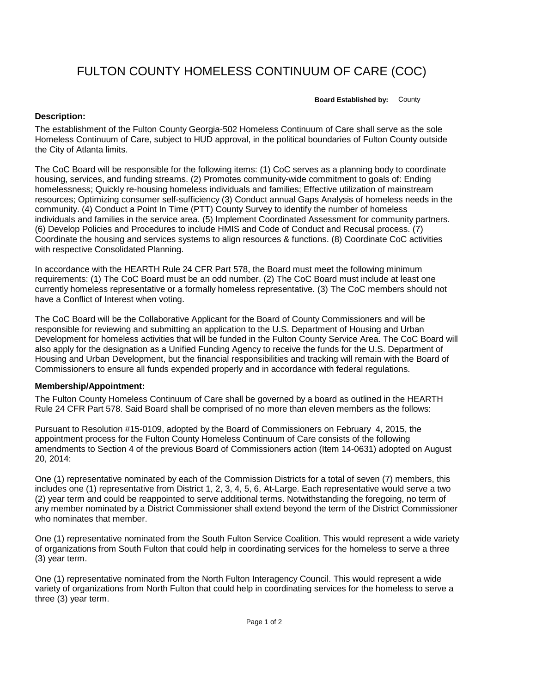## FULTON COUNTY HOMELESS CONTINUUM OF CARE (COC)

**Board Established by:** County

## **Description:**

The establishment of the Fulton County Georgia-502 Homeless Continuum of Care shall serve as the sole Homeless Continuum of Care, subject to HUD approval, in the political boundaries of Fulton County outside the City of Atlanta limits.

The CoC Board will be responsible for the following items: (1) CoC serves as a planning body to coordinate housing, services, and funding streams. (2) Promotes community-wide commitment to goals of: Ending homelessness; Quickly re-housing homeless individuals and families; Effective utilization of mainstream resources; Optimizing consumer self-sufficiency (3) Conduct annual Gaps Analysis of homeless needs in the community. (4) Conduct a Point In Time (PTT) County Survey to identify the number of homeless individuals and families in the service area. (5) Implement Coordinated Assessment for community partners. (6) Develop Policies and Procedures to include HMIS and Code of Conduct and Recusal process. (7) Coordinate the housing and services systems to align resources & functions. (8) Coordinate CoC activities with respective Consolidated Planning.

In accordance with the HEARTH Rule 24 CFR Part 578, the Board must meet the following minimum requirements: (1) The CoC Board must be an odd number. (2) The CoC Board must include at least one currently homeless representative or a formally homeless representative. (3) The CoC members should not have a Conflict of Interest when voting.

The CoC Board will be the Collaborative Applicant for the Board of County Commissioners and will be responsible for reviewing and submitting an application to the U.S. Department of Housing and Urban Development for homeless activities that will be funded in the Fulton County Service Area. The CoC Board will also apply for the designation as a Unified Funding Agency to receive the funds for the U.S. Department of Housing and Urban Development, but the financial responsibilities and tracking will remain with the Board of Commissioners to ensure all funds expended properly and in accordance with federal regulations.

## **Membership/Appointment:**

The Fulton County Homeless Continuum of Care shall be governed by a board as outlined in the HEARTH Rule 24 CFR Part 578. Said Board shall be comprised of no more than eleven members as the follows:

Pursuant to Resolution #15-0109, adopted by the Board of Commissioners on February 4, 2015, the appointment process for the Fulton County Homeless Continuum of Care consists of the following amendments to Section 4 of the previous Board of Commissioners action (Item 14-0631) adopted on August 20, 2014:

One (1) representative nominated by each of the Commission Districts for a total of seven (7) members, this includes one (1) representative from District 1, 2, 3, 4, 5, 6, At-Large. Each representative would serve a two (2) year term and could be reappointed to serve additional terms. Notwithstanding the foregoing, no term of any member nominated by a District Commissioner shall extend beyond the term of the District Commissioner who nominates that member.

One (1) representative nominated from the South Fulton Service Coalition. This would represent a wide variety of organizations from South Fulton that could help in coordinating services for the homeless to serve a three (3) year term.

One (1) representative nominated from the North Fulton Interagency Council. This would represent a wide variety of organizations from North Fulton that could help in coordinating services for the homeless to serve a three (3) year term.